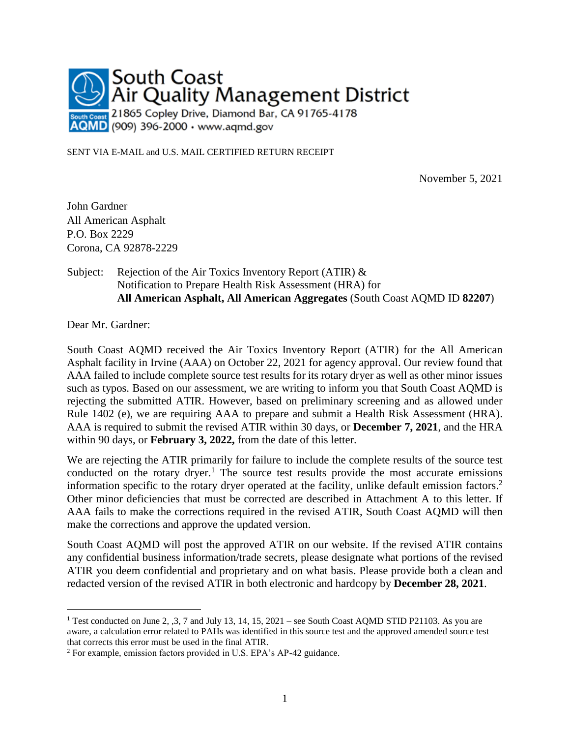

SENT VIA E-MAIL and U.S. MAIL CERTIFIED RETURN RECEIPT

November 5, 2021

John Gardner All American Asphalt P.O. Box 2229 Corona, CA 92878-2229

#### Subject: Rejection of the Air Toxics Inventory Report (ATIR) & Notification to Prepare Health Risk Assessment (HRA) for **All American Asphalt, All American Aggregates** (South Coast AQMD ID **82207**)

Dear Mr. Gardner:

 $\overline{a}$ 

South Coast AQMD received the Air Toxics Inventory Report (ATIR) for the All American Asphalt facility in Irvine (AAA) on October 22, 2021 for agency approval. Our review found that AAA failed to include complete source test results for its rotary dryer as well as other minor issues such as typos. Based on our assessment, we are writing to inform you that South Coast AQMD is rejecting the submitted ATIR. However, based on preliminary screening and as allowed under Rule 1402 (e), we are requiring AAA to prepare and submit a Health Risk Assessment (HRA). AAA is required to submit the revised ATIR within 30 days, or **December 7, 2021**, and the HRA within 90 days, or **February 3, 2022,** from the date of this letter.

We are rejecting the ATIR primarily for failure to include the complete results of the source test conducted on the rotary dryer.<sup>1</sup> The source test results provide the most accurate emissions information specific to the rotary dryer operated at the facility, unlike default emission factors. 2 Other minor deficiencies that must be corrected are described in Attachment A to this letter. If AAA fails to make the corrections required in the revised ATIR, South Coast AQMD will then make the corrections and approve the updated version.

South Coast AQMD will post the approved ATIR on our website. If the revised ATIR contains any confidential business information/trade secrets, please designate what portions of the revised ATIR you deem confidential and proprietary and on what basis. Please provide both a clean and redacted version of the revised ATIR in both electronic and hardcopy by **December 28, 2021**.

<sup>&</sup>lt;sup>1</sup> Test conducted on June 2,  $,3$ , 7 and July 13, 14, 15, 2021 – see South Coast AQMD STID P21103. As you are aware, a calculation error related to PAHs was identified in this source test and the approved amended source test that corrects this error must be used in the final ATIR.

<sup>2</sup> For example, emission factors provided in U.S. EPA's AP-42 guidance.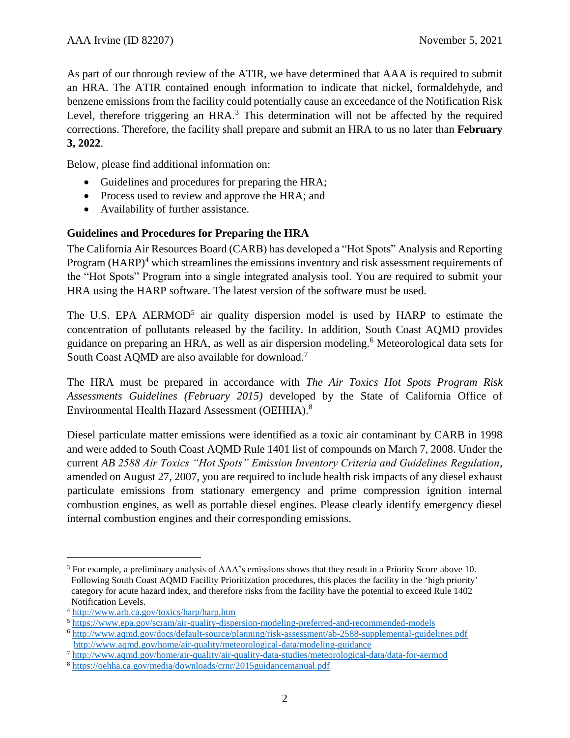As part of our thorough review of the ATIR, we have determined that AAA is required to submit an HRA. The ATIR contained enough information to indicate that nickel, formaldehyde, and benzene emissions from the facility could potentially cause an exceedance of the Notification Risk Level, therefore triggering an  $HRA$ <sup>3</sup>. This determination will not be affected by the required corrections. Therefore, the facility shall prepare and submit an HRA to us no later than **February 3, 2022**.

Below, please find additional information on:

- Guidelines and procedures for preparing the HRA;
- Process used to review and approve the HRA; and
- Availability of further assistance.

### **Guidelines and Procedures for Preparing the HRA**

The California Air Resources Board (CARB) has developed a "Hot Spots" Analysis and Reporting Program  $(HARP)^4$  which streamlines the emissions inventory and risk assessment requirements of the "Hot Spots" Program into a single integrated analysis tool. You are required to submit your HRA using the HARP software. The latest version of the software must be used.

The U.S. EPA AERMOD<sup>5</sup> air quality dispersion model is used by HARP to estimate the concentration of pollutants released by the facility. In addition, South Coast AQMD provides guidance on preparing an HRA, as well as air dispersion modeling. <sup>6</sup> Meteorological data sets for South Coast AQMD are also available for download.<sup>7</sup>

The HRA must be prepared in accordance with *The Air Toxics Hot Spots Program Risk Assessments Guidelines (February 2015)* developed by the State of California Office of Environmental Health Hazard Assessment (OEHHA).<sup>8</sup>

Diesel particulate matter emissions were identified as a toxic air contaminant by CARB in 1998 and were added to South Coast AQMD Rule 1401 list of compounds on March 7, 2008. Under the current *AB 2588 Air Toxics "Hot Spots" Emission Inventory Criteria and Guidelines Regulation*, amended on August 27, 2007, you are required to include health risk impacts of any diesel exhaust particulate emissions from stationary emergency and prime compression ignition internal combustion engines, as well as portable diesel engines. Please clearly identify emergency diesel internal combustion engines and their corresponding emissions.

 $\overline{a}$ 

<sup>&</sup>lt;sup>3</sup> For example, a preliminary analysis of AAA's emissions shows that they result in a Priority Score above 10. Following South Coast AQMD Facility Prioritization procedures, this places the facility in the 'high priority' category for acute hazard index, and therefore risks from the facility have the potential to exceed Rule 1402 Notification Levels.

<sup>4</sup> <http://www.arb.ca.gov/toxics/harp/harp.htm>

<sup>5</sup> <https://www.epa.gov/scram/air-quality-dispersion-modeling-preferred-and-recommended-models>

<sup>6</sup> <http://www.aqmd.gov/docs/default-source/planning/risk-assessment/ab-2588-supplemental-guidelines.pdf> <http://www.aqmd.gov/home/air-quality/meteorological-data/modeling-guidance>

<sup>7</sup> <http://www.aqmd.gov/home/air-quality/air-quality-data-studies/meteorological-data/data-for-aermod>

<sup>8</sup> <https://oehha.ca.gov/media/downloads/crnr/2015guidancemanual.pdf>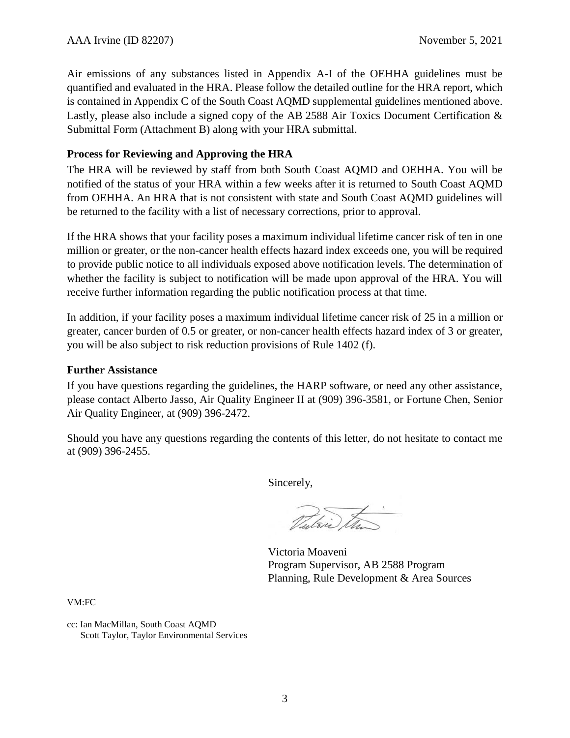Air emissions of any substances listed in Appendix A-I of the OEHHA guidelines must be quantified and evaluated in the HRA. Please follow the detailed outline for the HRA report, which is contained in Appendix C of the South Coast AQMD supplemental guidelines mentioned above. Lastly, please also include a signed copy of the AB 2588 Air Toxics Document Certification & Submittal Form (Attachment B) along with your HRA submittal.

### **Process for Reviewing and Approving the HRA**

The HRA will be reviewed by staff from both South Coast AQMD and OEHHA. You will be notified of the status of your HRA within a few weeks after it is returned to South Coast AQMD from OEHHA. An HRA that is not consistent with state and South Coast AQMD guidelines will be returned to the facility with a list of necessary corrections, prior to approval.

If the HRA shows that your facility poses a maximum individual lifetime cancer risk of ten in one million or greater, or the non-cancer health effects hazard index exceeds one, you will be required to provide public notice to all individuals exposed above notification levels. The determination of whether the facility is subject to notification will be made upon approval of the HRA. You will receive further information regarding the public notification process at that time.

In addition, if your facility poses a maximum individual lifetime cancer risk of 25 in a million or greater, cancer burden of 0.5 or greater, or non-cancer health effects hazard index of 3 or greater, you will be also subject to risk reduction provisions of Rule 1402 (f).

#### **Further Assistance**

If you have questions regarding the guidelines, the HARP software, or need any other assistance, please contact Alberto Jasso, Air Quality Engineer II at (909) 396-3581, or Fortune Chen, Senior Air Quality Engineer, at (909) 396-2472.

Should you have any questions regarding the contents of this letter, do not hesitate to contact me at (909) 396-2455.

Sincerely,

Tutsii) Et

Victoria Moaveni Program Supervisor, AB 2588 Program Planning, Rule Development & Area Sources

VM:FC

cc: Ian MacMillan, South Coast AQMD Scott Taylor, Taylor Environmental Services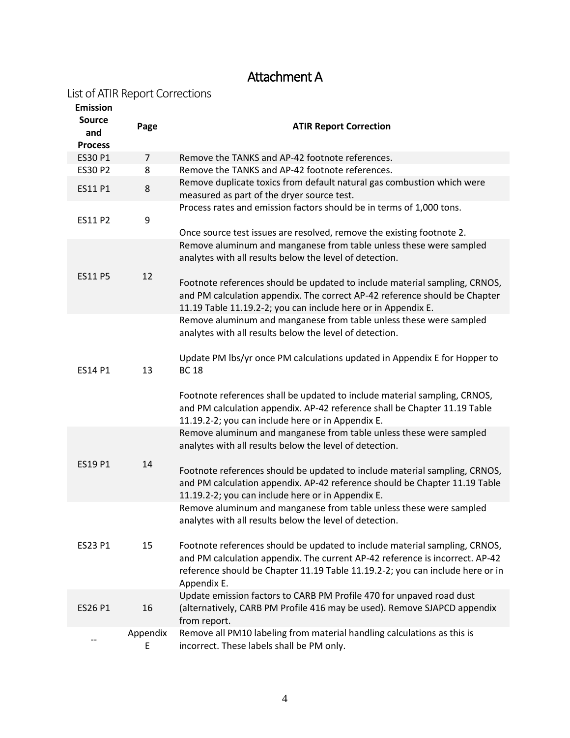# Attachment A

### List of ATIR Report Corrections

| <b>Emission</b>                        |                                                                           |                                                                                                                                                                                                                                                                                           |  |
|----------------------------------------|---------------------------------------------------------------------------|-------------------------------------------------------------------------------------------------------------------------------------------------------------------------------------------------------------------------------------------------------------------------------------------|--|
| <b>Source</b><br>and<br><b>Process</b> | Page                                                                      | <b>ATIR Report Correction</b>                                                                                                                                                                                                                                                             |  |
| ES30 P1                                | $\overline{7}$                                                            | Remove the TANKS and AP-42 footnote references.                                                                                                                                                                                                                                           |  |
| <b>ES30 P2</b>                         | 8                                                                         | Remove the TANKS and AP-42 footnote references.                                                                                                                                                                                                                                           |  |
| 8<br>ES11 P1                           |                                                                           | Remove duplicate toxics from default natural gas combustion which were<br>measured as part of the dryer source test.                                                                                                                                                                      |  |
| ES11 P2                                | Process rates and emission factors should be in terms of 1,000 tons.<br>9 |                                                                                                                                                                                                                                                                                           |  |
| <b>ES11 P5</b>                         | 12                                                                        | Once source test issues are resolved, remove the existing footnote 2.<br>Remove aluminum and manganese from table unless these were sampled<br>analytes with all results below the level of detection.                                                                                    |  |
|                                        |                                                                           | Footnote references should be updated to include material sampling, CRNOS,<br>and PM calculation appendix. The correct AP-42 reference should be Chapter<br>11.19 Table 11.19.2-2; you can include here or in Appendix E.                                                                 |  |
| ES14 P1                                | 13                                                                        | Remove aluminum and manganese from table unless these were sampled<br>analytes with all results below the level of detection.<br>Update PM lbs/yr once PM calculations updated in Appendix E for Hopper to<br><b>BC 18</b>                                                                |  |
|                                        |                                                                           | Footnote references shall be updated to include material sampling, CRNOS,<br>and PM calculation appendix. AP-42 reference shall be Chapter 11.19 Table<br>11.19.2-2; you can include here or in Appendix E.                                                                               |  |
| ES19 P1                                | 14                                                                        | Remove aluminum and manganese from table unless these were sampled<br>analytes with all results below the level of detection.<br>Footnote references should be updated to include material sampling, CRNOS,<br>and PM calculation appendix. AP-42 reference should be Chapter 11.19 Table |  |
|                                        |                                                                           | 11.19.2-2; you can include here or in Appendix E.                                                                                                                                                                                                                                         |  |
|                                        |                                                                           | Remove aluminum and manganese from table unless these were sampled<br>analytes with all results below the level of detection.                                                                                                                                                             |  |
| ES23 P1                                | 15                                                                        | Footnote references should be updated to include material sampling, CRNOS,<br>and PM calculation appendix. The current AP-42 reference is incorrect. AP-42<br>reference should be Chapter 11.19 Table 11.19.2-2; you can include here or in<br>Appendix E.                                |  |
| ES26 P1                                | 16                                                                        | Update emission factors to CARB PM Profile 470 for unpaved road dust<br>(alternatively, CARB PM Profile 416 may be used). Remove SJAPCD appendix<br>from report.                                                                                                                          |  |
|                                        | Appendix<br>E                                                             | Remove all PM10 labeling from material handling calculations as this is<br>incorrect. These labels shall be PM only.                                                                                                                                                                      |  |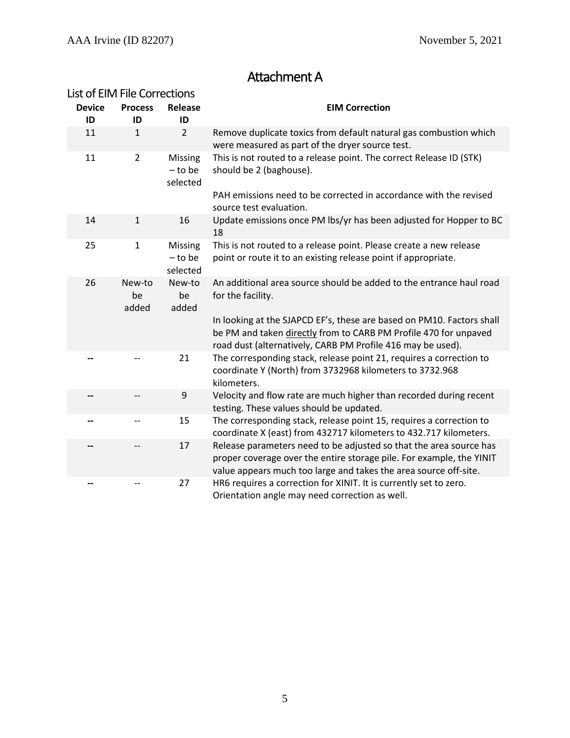## Attachment A

| List of EIM File Corrections |                       |                                  |                                                                                                                                                                                                                                       |
|------------------------------|-----------------------|----------------------------------|---------------------------------------------------------------------------------------------------------------------------------------------------------------------------------------------------------------------------------------|
| <b>Device</b><br>ID          | <b>Process</b><br>ID  | Release<br>ID                    | <b>EIM Correction</b>                                                                                                                                                                                                                 |
| 11                           | $\mathbf{1}$          | $\overline{2}$                   | Remove duplicate toxics from default natural gas combustion which<br>were measured as part of the dryer source test.                                                                                                                  |
| 11                           | $\overline{2}$        | Missing<br>$-$ to be<br>selected | This is not routed to a release point. The correct Release ID (STK)<br>should be 2 (baghouse).                                                                                                                                        |
|                              |                       |                                  | PAH emissions need to be corrected in accordance with the revised<br>source test evaluation.                                                                                                                                          |
| 14                           | $\mathbf{1}$          | 16                               | Update emissions once PM lbs/yr has been adjusted for Hopper to BC<br>18                                                                                                                                                              |
| 25                           | $\mathbf{1}$          | Missing<br>$-$ to be<br>selected | This is not routed to a release point. Please create a new release<br>point or route it to an existing release point if appropriate.                                                                                                  |
| 26                           | New-to<br>be<br>added | New-to<br>be<br>added            | An additional area source should be added to the entrance haul road<br>for the facility.<br>In looking at the SJAPCD EF's, these are based on PM10. Factors shall<br>be PM and taken directly from to CARB PM Profile 470 for unpaved |
|                              |                       | 21                               | road dust (alternatively, CARB PM Profile 416 may be used).<br>The corresponding stack, release point 21, requires a correction to<br>coordinate Y (North) from 3732968 kilometers to 3732.968<br>kilometers.                         |
| --                           |                       | 9                                | Velocity and flow rate are much higher than recorded during recent<br>testing. These values should be updated.                                                                                                                        |
|                              |                       | 15                               | The corresponding stack, release point 15, requires a correction to<br>coordinate X (east) from 432717 kilometers to 432.717 kilometers.                                                                                              |
| --                           |                       | 17                               | Release parameters need to be adjusted so that the area source has<br>proper coverage over the entire storage pile. For example, the YINIT<br>value appears much too large and takes the area source off-site.                        |
| --                           |                       | 27                               | HR6 requires a correction for XINIT. It is currently set to zero.<br>Orientation angle may need correction as well.                                                                                                                   |